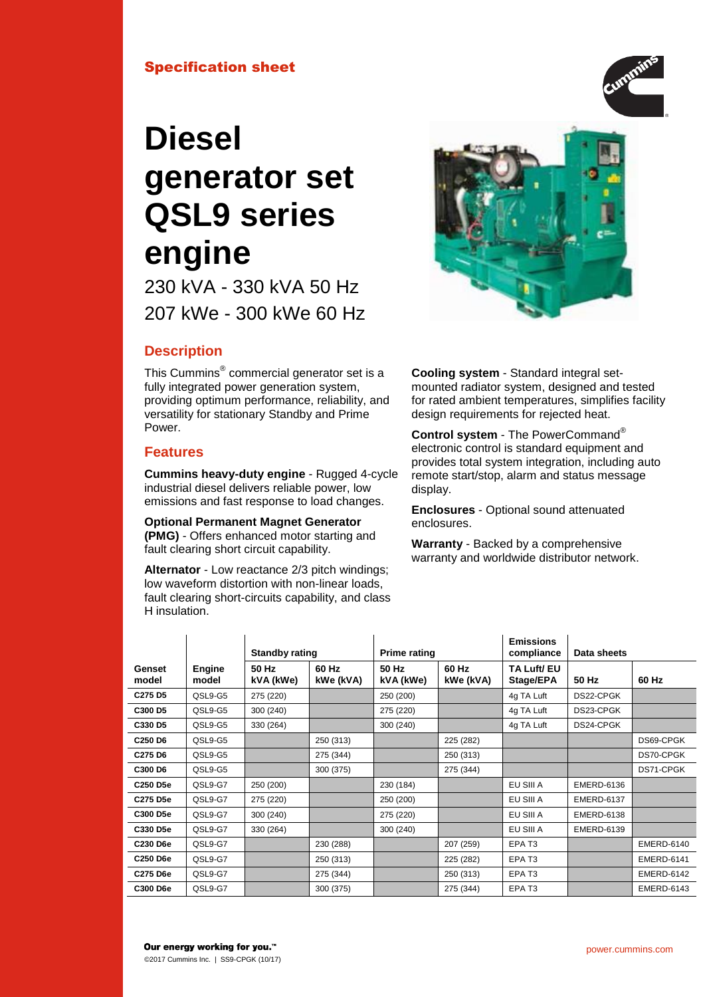# Specification sheet

# **Diesel generator set QSL9 series engine**

230 kVA - 330 kVA 50 Hz 207 kWe - 300 kWe 60 Hz

# **Description**

This Cummins® commercial generator set is a fully integrated power generation system, providing optimum performance, reliability, and versatility for stationary Standby and Prime Power.

## **Features**

**Cummins heavy-duty engine** - Rugged 4-cycle industrial diesel delivers reliable power, low emissions and fast response to load changes.

**Optional Permanent Magnet Generator (PMG)** - Offers enhanced motor starting and fault clearing short circuit capability.

**Alternator** - Low reactance 2/3 pitch windings; low waveform distortion with non-linear loads, fault clearing short-circuits capability, and class H insulation.

 $\mathbf{r}$ 

**Cooling system** - Standard integral setmounted radiator system, designed and tested for rated ambient temperatures, simplifies facility design requirements for rejected heat.

**Control system** - The PowerCommand® electronic control is standard equipment and provides total system integration, including auto remote start/stop, alarm and status message display.

**Enclosures** - Optional sound attenuated enclosures.

**Warranty** - Backed by a comprehensive warranty and worldwide distributor network.

|                                 |                        | <b>Standby rating</b> |                    | <b>Prime rating</b> |                    | <b>Emissions</b><br>compliance | Data sheets       |                   |
|---------------------------------|------------------------|-----------------------|--------------------|---------------------|--------------------|--------------------------------|-------------------|-------------------|
| Genset<br>model                 | <b>Engine</b><br>model | 50 Hz<br>kVA (kWe)    | 60 Hz<br>kWe (kVA) | 50 Hz<br>kVA (kWe)  | 60 Hz<br>kWe (kVA) | TA Luft/ EU<br>Stage/EPA       | 50 Hz             | 60 Hz             |
| C <sub>275</sub> D <sub>5</sub> | QSL9-G5                | 275 (220)             |                    | 250 (200)           |                    | 4g TA Luft                     | DS22-CPGK         |                   |
| C300 D5                         | QSL9-G5                | 300 (240)             |                    | 275 (220)           |                    | 4g TA Luft                     | DS23-CPGK         |                   |
| C330 D5                         | QSL9-G5                | 330 (264)             |                    | 300 (240)           |                    | 4g TA Luft                     | DS24-CPGK         |                   |
| C <sub>250</sub> D <sub>6</sub> | QSL9-G5                |                       | 250 (313)          |                     | 225 (282)          |                                |                   | DS69-CPGK         |
| C <sub>275</sub> D <sub>6</sub> | QSL9-G5                |                       | 275 (344)          |                     | 250 (313)          |                                |                   | DS70-CPGK         |
| C300 D6                         | QSL9-G5                |                       | 300 (375)          |                     | 275 (344)          |                                |                   | DS71-CPGK         |
| C250 D5e                        | QSL9-G7                | 250 (200)             |                    | 230 (184)           |                    | EU SIII A                      | <b>EMERD-6136</b> |                   |
| C275 D5e                        | QSL9-G7                | 275 (220)             |                    | 250 (200)           |                    | EU SIII A                      | <b>EMERD-6137</b> |                   |
| C300 D5e                        | QSL9-G7                | 300 (240)             |                    | 275 (220)           |                    | EU SIII A                      | <b>EMERD-6138</b> |                   |
| C330 D5e                        | QSL9-G7                | 330 (264)             |                    | 300 (240)           |                    | EU SIII A                      | <b>EMERD-6139</b> |                   |
| C230 D6e                        | QSL9-G7                |                       | 230 (288)          |                     | 207 (259)          | EPAT <sub>3</sub>              |                   | <b>EMERD-6140</b> |
| C250 D6e                        | QSL9-G7                |                       | 250 (313)          |                     | 225 (282)          | EPA <sub>T3</sub>              |                   | EMERD-6141        |
| C275 D6e                        | QSL9-G7                |                       | 275 (344)          |                     | 250 (313)          | EPA <sub>T3</sub>              |                   | <b>EMERD-6142</b> |
| C300 D6e                        | QSL9-G7                |                       | 300 (375)          |                     | 275 (344)          | EPA <sub>T3</sub>              |                   | <b>EMERD-6143</b> |



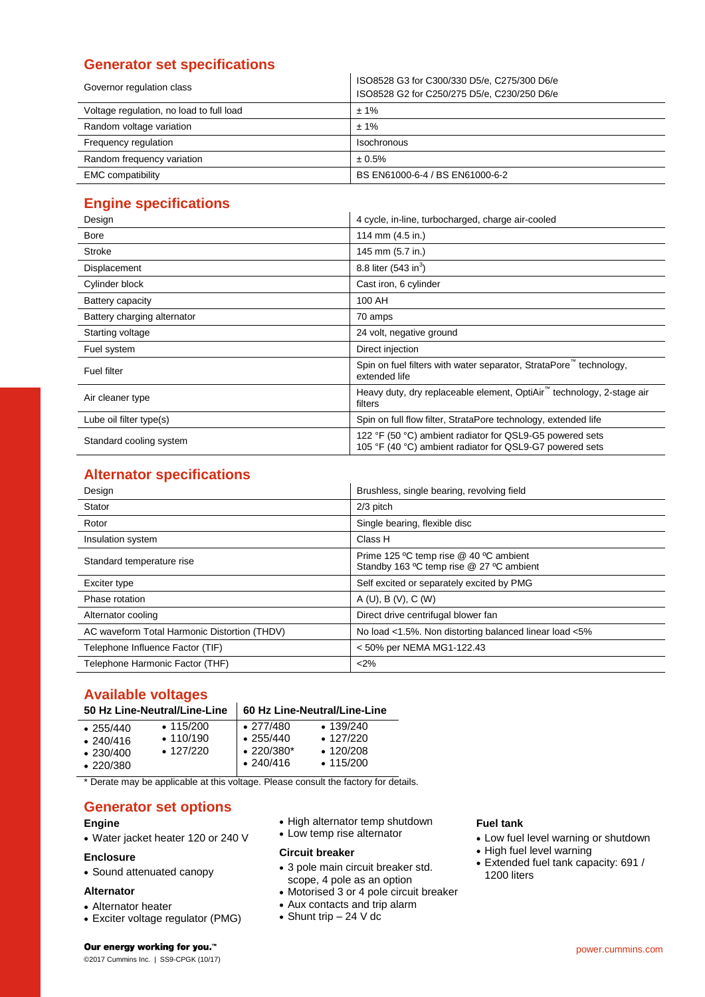# **Generator set specifications**

| Governor regulation class                | ISO8528 G3 for C300/330 D5/e, C275/300 D6/e<br>ISO8528 G2 for C250/275 D5/e, C230/250 D6/e |  |  |
|------------------------------------------|--------------------------------------------------------------------------------------------|--|--|
| Voltage regulation, no load to full load | $± 1\%$                                                                                    |  |  |
| Random voltage variation                 | $± 1\%$                                                                                    |  |  |
| Frequency regulation                     | Isochronous                                                                                |  |  |
| Random frequency variation               | ± 0.5%                                                                                     |  |  |
| <b>EMC</b> compatibility                 | BS EN61000-6-4 / BS EN61000-6-2                                                            |  |  |

# **Engine specifications**

| Design                      | 4 cycle, in-line, turbocharged, charge air-cooled                                                                    |  |  |  |  |
|-----------------------------|----------------------------------------------------------------------------------------------------------------------|--|--|--|--|
| <b>Bore</b>                 | 114 mm (4.5 in.)                                                                                                     |  |  |  |  |
| Stroke                      | 145 mm (5.7 in.)                                                                                                     |  |  |  |  |
| Displacement                | 8.8 liter $(543 \text{ in}^3)$                                                                                       |  |  |  |  |
| Cylinder block              | Cast iron, 6 cylinder                                                                                                |  |  |  |  |
| Battery capacity            | 100 AH                                                                                                               |  |  |  |  |
| Battery charging alternator | 70 amps                                                                                                              |  |  |  |  |
| Starting voltage            | 24 volt, negative ground                                                                                             |  |  |  |  |
| Fuel system                 | Direct injection                                                                                                     |  |  |  |  |
| Fuel filter                 | Spin on fuel filters with water separator, StrataPore technology,<br>extended life                                   |  |  |  |  |
| Air cleaner type            | Heavy duty, dry replaceable element, OptiAir <sup>™</sup> technology, 2-stage air<br>filters                         |  |  |  |  |
| Lube oil filter type(s)     | Spin on full flow filter, StrataPore technology, extended life                                                       |  |  |  |  |
| Standard cooling system     | 122 °F (50 °C) ambient radiator for QSL9-G5 powered sets<br>105 °F (40 °C) ambient radiator for QSL9-G7 powered sets |  |  |  |  |

# **Alternator specifications**

| Design                                       | Brushless, single bearing, revolving field                                         |
|----------------------------------------------|------------------------------------------------------------------------------------|
| Stator                                       | $2/3$ pitch                                                                        |
| Rotor                                        | Single bearing, flexible disc                                                      |
| Insulation system                            | Class H                                                                            |
| Standard temperature rise                    | Prime 125 °C temp rise @ 40 °C ambient<br>Standby 163 °C temp rise @ 27 °C ambient |
| Exciter type                                 | Self excited or separately excited by PMG                                          |
| Phase rotation                               | A(U), B(V), C(W)                                                                   |
| Alternator cooling                           | Direct drive centrifugal blower fan                                                |
| AC waveform Total Harmonic Distortion (THDV) | No load <1.5%. Non distorting balanced linear load <5%                             |
| Telephone Influence Factor (TIF)             | < 50% per NEMA MG1-122.43                                                          |
| Telephone Harmonic Factor (THF)              | < 2%                                                                               |

# **Available voltages**

| 50 Hz Line-Neutral/Line-Line   60 Hz Line-Neutral/Line-Line |  |
|-------------------------------------------------------------|--|
|-------------------------------------------------------------|--|

| $\cdot$ 277/480<br>$\cdot$ 139/240<br>$\cdot$ 115/200<br>$\cdot$ 255/440<br>$\cdot$ 110/190<br>$\cdot$ 127/220<br>$\cdot$ 255/440<br>.240/416<br>$\cdot$ 220/380*<br>$\cdot$ 127/220<br>$\cdot$ 120/208<br>$\cdot$ 230/400<br>$\cdot$ 240/416<br>$\cdot$ 115/200<br>$\cdot$ 220/380 |  |  |
|-------------------------------------------------------------------------------------------------------------------------------------------------------------------------------------------------------------------------------------------------------------------------------------|--|--|
|                                                                                                                                                                                                                                                                                     |  |  |
|                                                                                                                                                                                                                                                                                     |  |  |

\* Derate may be applicable at this voltage. Please consult the factory for details.

# **Generator set options**

#### **Engine**

Water jacket heater 120 or 240 V

#### **Enclosure**

Sound attenuated canopy

## **Alternator**

- Alternator heater
- Exciter voltage regulator (PMG)
- High alternator temp shutdown
- Low temp rise alternator

#### **Circuit breaker**

- 3 pole main circuit breaker std. scope, 4 pole as an option
- Motorised 3 or 4 pole circuit breaker
- Aux contacts and trip alarm
- Shunt trip 24 V dc

## **Fuel tank**

- Low fuel level warning or shutdown
- High fuel level warning
- Extended fuel tank capacity: 691 / 1200 liters

#### Our energy working for you.™

©2017 Cummins Inc. | SS9-CPGK (10/17)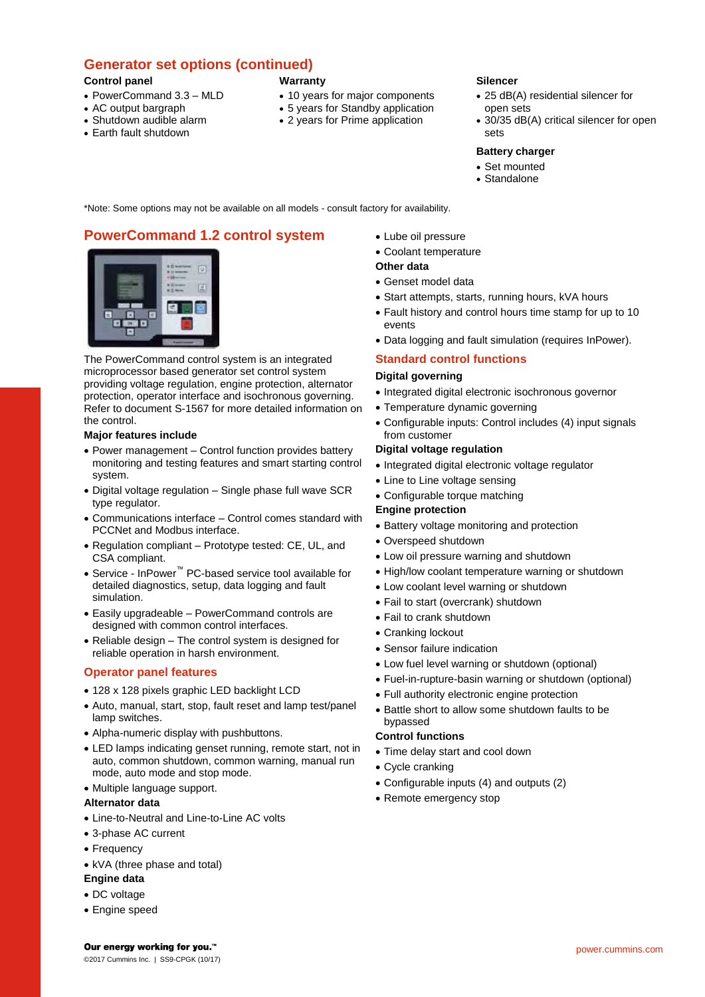# **Generator set options (continued)**

#### **Control panel**

- PowerCommand 3.3 MLD
- AC output bargraph
- Shutdown audible alarm
- Earth fault shutdown

# **Warranty**

- 10 years for major components
- 5 years for Standby application
- 2 years for Prime application

## **Silencer**

- 25 dB(A) residential silencer for open sets
- 30/35 dB(A) critical silencer for open sets

## **Battery charger**

- Set mounted
- Standalone

\*Note: Some options may not be available on all models - consult factory for availability.

# **PowerCommand 1.2 control system**



The PowerCommand control system is an integrated microprocessor based generator set control system providing voltage regulation, engine protection, alternator protection, operator interface and isochronous governing. Refer to document S-1567 for more detailed information on the control.

#### **Major features include**

- Power management Control function provides battery monitoring and testing features and smart starting control system.
- Digital voltage regulation Single phase full wave SCR type regulator.
- Communications interface Control comes standard with PCCNet and Modbus interface.
- Regulation compliant Prototype tested: CE, UL, and CSA compliant.
- Service InPower™ PC-based service tool available for detailed diagnostics, setup, data logging and fault simulation.
- Easily upgradeable PowerCommand controls are designed with common control interfaces.
- Reliable design The control system is designed for reliable operation in harsh environment.

## **Operator panel features**

- 128 x 128 pixels graphic LED backlight LCD
- Auto, manual, start, stop, fault reset and lamp test/panel lamp switches.
- Alpha-numeric display with pushbuttons.
- LED lamps indicating genset running, remote start, not in auto, common shutdown, common warning, manual run mode, auto mode and stop mode.
- Multiple language support.

## **Alternator data**

- Line-to-Neutral and Line-to-Line AC volts
- 3-phase AC current
- Frequency
- kVA (three phase and total)

## **Engine data**

- DC voltage
- Engine speed

Lube oil pressure

#### Coolant temperature

## **Other data**

- Genset model data
- Start attempts, starts, running hours, kVA hours
- Fault history and control hours time stamp for up to 10 events
- Data logging and fault simulation (requires InPower).

## **Standard control functions**

#### **Digital governing**

- Integrated digital electronic isochronous governor
- Temperature dynamic governing
	- Configurable inputs: Control includes (4) input signals from customer

#### **Digital voltage regulation**

- Integrated digital electronic voltage regulator
- Line to Line voltage sensing
- Configurable torque matching

## **Engine protection**

- Battery voltage monitoring and protection
- Overspeed shutdown
- Low oil pressure warning and shutdown
- High/low coolant temperature warning or shutdown
- Low coolant level warning or shutdown
- Fail to start (overcrank) shutdown
- Fail to crank shutdown
- Cranking lockout
- Sensor failure indication
- Low fuel level warning or shutdown (optional)
- Fuel-in-rupture-basin warning or shutdown (optional)
- Full authority electronic engine protection
- Battle short to allow some shutdown faults to be bypassed

## **Control functions**

- Time delay start and cool down
- Cycle cranking
- Configurable inputs (4) and outputs (2)
- Remote emergency stop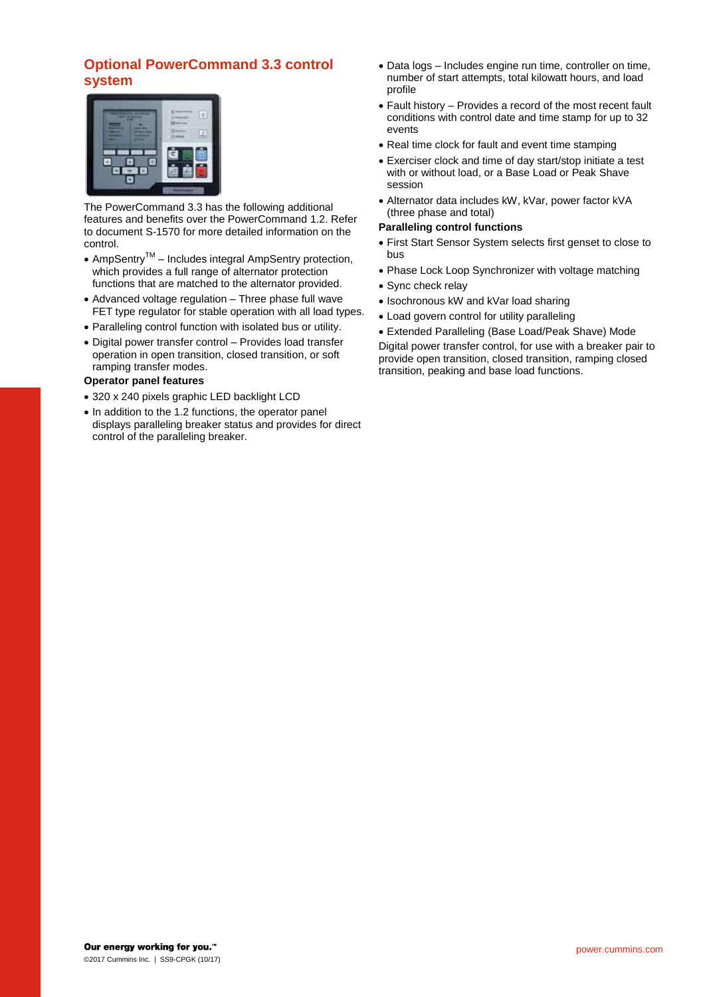# **Optional PowerCommand 3.3 control system**



The PowerCommand 3.3 has the following additional features and benefits over the PowerCommand 1.2. Refer to document S-1570 for more detailed information on the control.

- AmpSentry<sup>TM</sup> Includes integral AmpSentry protection, which provides a full range of alternator protection functions that are matched to the alternator provided.
- Advanced voltage regulation Three phase full wave FET type regulator for stable operation with all load types.
- Paralleling control function with isolated bus or utility.
- Digital power transfer control Provides load transfer operation in open transition, closed transition, or soft ramping transfer modes.

#### **Operator panel features**

- 320 x 240 pixels graphic LED backlight LCD
- In addition to the 1.2 functions, the operator panel displays paralleling breaker status and provides for direct control of the paralleling breaker.
- Data logs Includes engine run time, controller on time, number of start attempts, total kilowatt hours, and load profile
- Fault history Provides a record of the most recent fault conditions with control date and time stamp for up to 32 events
- Real time clock for fault and event time stamping
- Exerciser clock and time of day start/stop initiate a test with or without load, or a Base Load or Peak Shave session
- Alternator data includes kW, kVar, power factor kVA (three phase and total)

## **Paralleling control functions**

- First Start Sensor System selects first genset to close to bus
- Phase Lock Loop Synchronizer with voltage matching
- Sync check relay
- Isochronous kW and kVar load sharing
- Load govern control for utility paralleling

 Extended Paralleling (Base Load/Peak Shave) Mode Digital power transfer control, for use with a breaker pair to provide open transition, closed transition, ramping closed transition, peaking and base load functions.